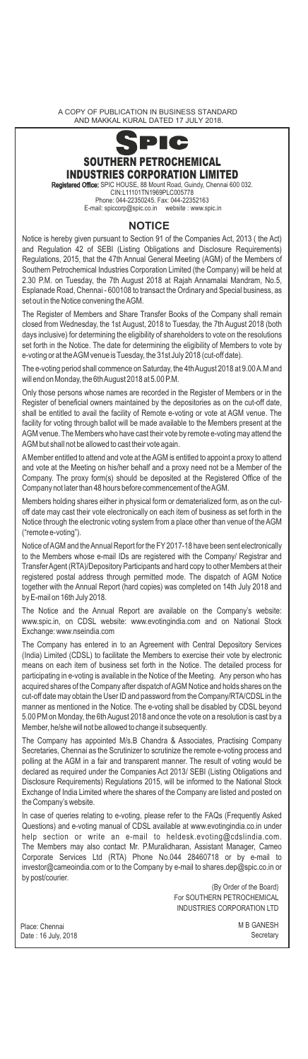A COPY OF PUBLICATION IN BUSINESS STANDARD AND MAKKAL KURAL DATED 17 JULY 2018.



closed from Wednesday, the 1st August, 2018 to Tuesday, the 7th August 2018 (both days inclusive) for determining the eligibility of shareholders to vote on the resolutions set forth in the Notice. The date for determining the eligibility of Members to vote by e-voting or at the AGM venue is Tuesday, the 31st July 2018 (cut-off date).

The e-voting period shall commence on Saturday, the 4th August 2018 at 9.00 A.M and will end on Monday, the 6th August 2018 at 5.00 P.M.

Only those persons whose names are recorded in the Register of Members or in the Register of beneficial owners maintained by the depositories as on the cut-off date, shall be entitled to avail the facility of Remote e-voting or vote at AGM venue. The facility for voting through ballot will be made available to the Members present at the AGM venue. The Members who have cast their vote by remote e-voting may attend the AGM but shall not be allowed to cast their vote again.

A Member entitled to attend and vote at the AGM is entitled to appoint a proxy to attend and vote at the Meeting on his/her behalf and a proxy need not be a Member of the Company. The proxy form(s) should be deposited at the Registered Office of the Company not later than 48 hours before commencement of the AGM.

Members holding shares either in physical form or dematerialized form, as on the cutoff date may cast their vote electronically on each item of business as set forth in the Notice through the electronic voting system from a place other than venue of the AGM ("remote e-voting").

Notice of AGM and the Annual Report for the FY 2017-18 have been sent electronically to the Members whose e-mail IDs are registered with the Company/ Registrar and Transfer Agent (RTA)/Depository Participants and hard copy to other Members at their registered postal address through permitted mode. The dispatch of AGM Notice together with the Annual Report (hard copies) was completed on 14th July 2018 and by E-mail on 16th July 2018.

The Notice and the Annual Report are available on the Company's website: www.spic.in, on CDSL website: www.evotingindia.com and on National Stock Exchange: www.nseindia.com

The Company has entered in to an Agreement with Central Depository Services (India) Limited (CDSL) to facilitate the Members to exercise their vote by electronic means on each item of business set forth in the Notice. The detailed process for participating in e-voting is available in the Notice of the Meeting. Any person who has acquired shares of the Company after dispatch of AGM Notice and holds shares on the cut-off date may obtain the User ID and password from the Company/RTA/CDSL in the manner as mentioned in the Notice. The e-voting shall be disabled by CDSL beyond 5.00 PM on Monday, the 6th August 2018 and once the vote on a resolution is cast by a Member, he/she will not be allowed to change it subsequently.

The Company has appointed M/s.B Chandra & Associates, Practising Company Secretaries, Chennai as the Scrutinizer to scrutinize the remote e-voting process and polling at the AGM in a fair and transparent manner. The result of voting would be declared as required under the Companies Act 2013/ SEBI (Listing Obligations and Disclosure Requirements) Regulations 2015, will be informed to the National Stock Exchange of India Limited where the shares of the Company are listed and posted on the Company's website.

In case of queries relating to e-voting, please refer to the FAQs (Frequently Asked Questions) and e-voting manual of CDSL available at www.evotingindia.co.in under help section or write an e-mail to heldesk.evoting@cdslindia.com. section or write an e-mail to heldesk.evoting@cdslindia.com. The Members may also contact Mr. P.Muralidharan, Assistant Manager, Cameo Corporate Services Ltd (RTA) Phone No.044 28460718 or by e-mail to investor@cameoindia.com or to the Company by e-mail to shares.dep@spic.co.in or by post/courier.

(By Order of the Board) For SOUTHERN PETROCHEMICAL INDUSTRIES CORPORATION LTD

Place: Chennai Date : 16 July, 2018 M B GANESH **Secretary**